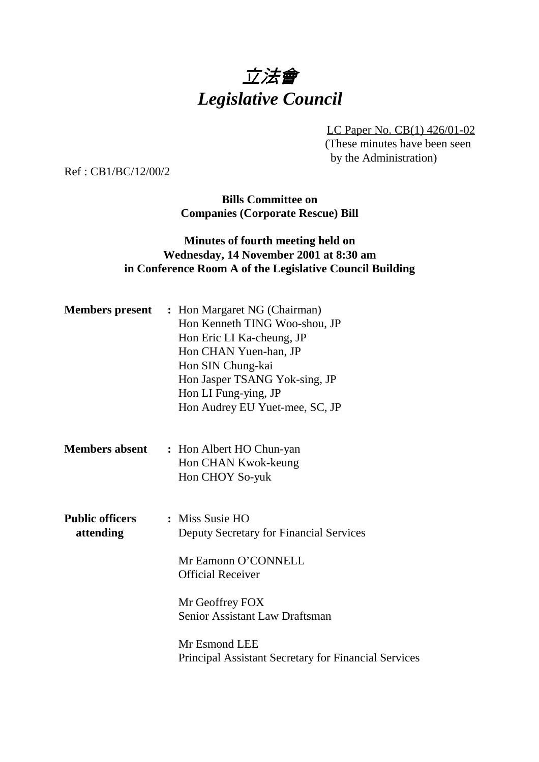# 立法會 *Legislative Council*

LC Paper No. CB(1) 426/01-02 (These minutes have been seen by the Administration)

Ref : CB1/BC/12/00/2

**Bills Committee on Companies (Corporate Rescue) Bill**

#### **Minutes of fourth meeting held on Wednesday, 14 November 2001 at 8:30 am in Conference Room A of the Legislative Council Building**

|                                     | <b>Members present</b> : Hon Margaret NG (Chairman)<br>Hon Kenneth TING Woo-shou, JP<br>Hon Eric LI Ka-cheung, JP<br>Hon CHAN Yuen-han, JP<br>Hon SIN Chung-kai<br>Hon Jasper TSANG Yok-sing, JP<br>Hon LI Fung-ying, JP<br>Hon Audrey EU Yuet-mee, SC, JP |
|-------------------------------------|------------------------------------------------------------------------------------------------------------------------------------------------------------------------------------------------------------------------------------------------------------|
| <b>Members absent</b>               | : Hon Albert HO Chun-yan<br>Hon CHAN Kwok-keung<br>Hon CHOY So-yuk                                                                                                                                                                                         |
| <b>Public officers</b><br>attending | : Miss Susie HO<br><b>Deputy Secretary for Financial Services</b><br>Mr Eamonn O'CONNELL<br><b>Official Receiver</b><br>Mr Geoffrey FOX<br><b>Senior Assistant Law Draftsman</b><br>Mr Esmond LEE                                                          |
|                                     | <b>Principal Assistant Secretary for Financial Services</b>                                                                                                                                                                                                |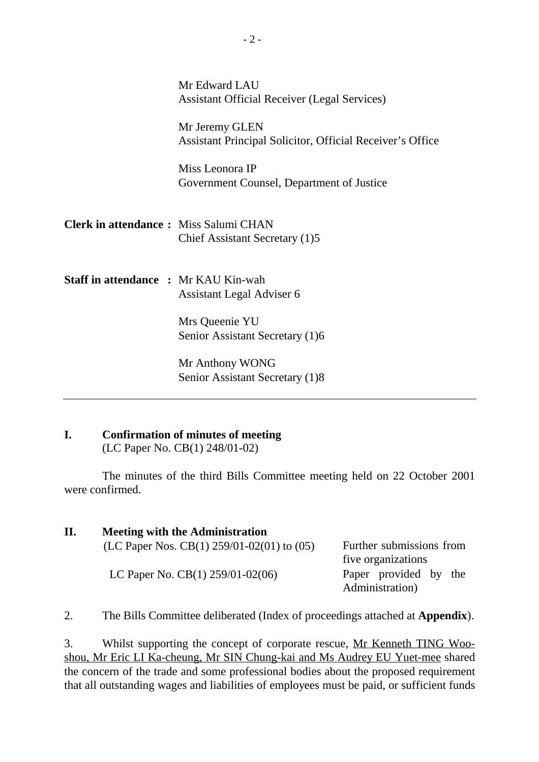|                                              | Mr Edward LAU<br><b>Assistant Official Receiver (Legal Services)</b>               |
|----------------------------------------------|------------------------------------------------------------------------------------|
|                                              | Mr Jeremy GLEN<br><b>Assistant Principal Solicitor, Official Receiver's Office</b> |
|                                              | Miss Leonora IP<br>Government Counsel, Department of Justice                       |
| <b>Clerk in attendance:</b> Miss Salumi CHAN | Chief Assistant Secretary (1)5                                                     |
| <b>Staff in attendance : Mr KAU Kin-wah</b>  | Assistant Legal Adviser 6                                                          |
|                                              | Mrs Queenie YU<br>Senior Assistant Secretary (1)6                                  |
|                                              | Mr Anthony WONG<br>Senior Assistant Secretary (1)8                                 |

### **I. Confirmation of minutes of meeting**

(LC Paper No. CB(1) 248/01-02)

The minutes of the third Bills Committee meeting held on 22 October 2001 were confirmed.

| П. | <b>Meeting with the Administration</b>         |  |  |                                            |  |  |
|----|------------------------------------------------|--|--|--------------------------------------------|--|--|
|    | (LC Paper Nos. CB(1) 259/01-02(01) to $(05)$ — |  |  | Further submissions from                   |  |  |
|    |                                                |  |  | five organizations                         |  |  |
|    | LC Paper No. $CB(1)$ 259/01-02(06)             |  |  | — Paper provided by the<br>Administration) |  |  |

2. The Bills Committee deliberated (Index of proceedings attached at **Appendix**).

3. Whilst supporting the concept of corporate rescue, Mr Kenneth TING Wooshou, Mr Eric LI Ka-cheung, Mr SIN Chung-kai and Ms Audrey EU Yuet-mee shared the concern of the trade and some professional bodies about the proposed requirement that all outstanding wages and liabilities of employees must be paid, or sufficient funds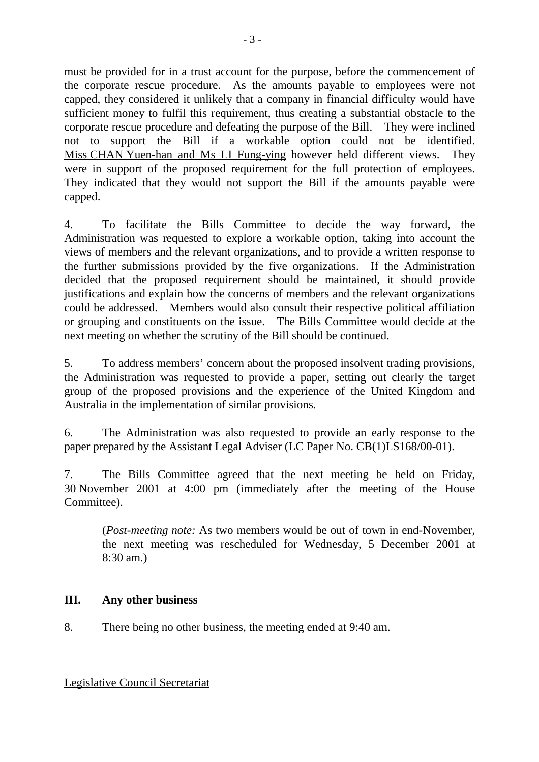must be provided for in a trust account for the purpose, before the commencement of the corporate rescue procedure. As the amounts payable to employees were not capped, they considered it unlikely that a company in financial difficulty would have sufficient money to fulfil this requirement, thus creating a substantial obstacle to the corporate rescue procedure and defeating the purpose of the Bill. They were inclined not to support the Bill if a workable option could not be identified. Miss CHAN Yuen-han and Ms LI Fung-ying however held different views. They were in support of the proposed requirement for the full protection of employees. They indicated that they would not support the Bill if the amounts payable were capped.

4. To facilitate the Bills Committee to decide the way forward, the Administration was requested to explore a workable option, taking into account the views of members and the relevant organizations, and to provide a written response to the further submissions provided by the five organizations. If the Administration decided that the proposed requirement should be maintained, it should provide justifications and explain how the concerns of members and the relevant organizations could be addressed. Members would also consult their respective political affiliation or grouping and constituents on the issue. The Bills Committee would decide at the next meeting on whether the scrutiny of the Bill should be continued.

5. To address members' concern about the proposed insolvent trading provisions, the Administration was requested to provide a paper, setting out clearly the target group of the proposed provisions and the experience of the United Kingdom and Australia in the implementation of similar provisions.

6. The Administration was also requested to provide an early response to the paper prepared by the Assistant Legal Adviser (LC Paper No. CB(1)LS168/00-01).

7. The Bills Committee agreed that the next meeting be held on Friday, 30 November 2001 at 4:00 pm (immediately after the meeting of the House Committee).

(*Post-meeting note:* As two members would be out of town in end-November, the next meeting was rescheduled for Wednesday, 5 December 2001 at 8:30 am.)

#### **III. Any other business**

8. There being no other business, the meeting ended at 9:40 am.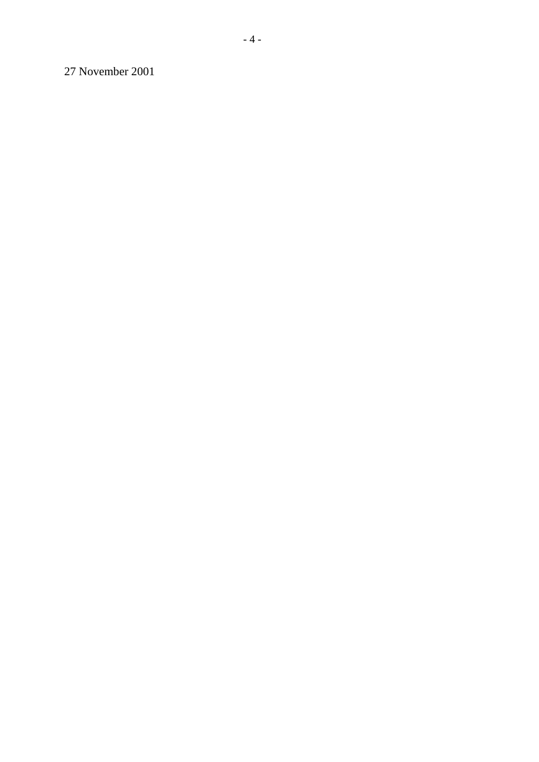27 November 2001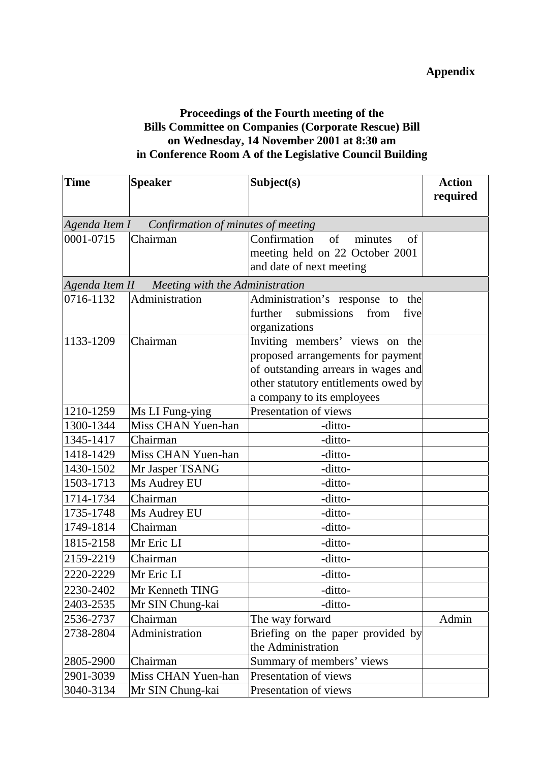#### **Proceedings of the Fourth meeting of the Bills Committee on Companies (Corporate Rescue) Bill on Wednesday, 14 November 2001 at 8:30 am in Conference Room A of the Legislative Council Building**

| <b>Time</b>                                      | <b>Speaker</b>                                     | Subject(s)                           | <b>Action</b> |  |  |
|--------------------------------------------------|----------------------------------------------------|--------------------------------------|---------------|--|--|
|                                                  |                                                    |                                      | required      |  |  |
|                                                  |                                                    |                                      |               |  |  |
|                                                  | Agenda Item I - Confirmation of minutes of meeting |                                      |               |  |  |
| 0001-0715                                        | Chairman                                           | Confirmation<br>of<br>minutes<br>of  |               |  |  |
|                                                  |                                                    | meeting held on 22 October 2001      |               |  |  |
|                                                  |                                                    | and date of next meeting             |               |  |  |
| Agenda Item II - Meeting with the Administration |                                                    |                                      |               |  |  |
| 0716-1132                                        | Administration                                     | Administration's response to<br>the  |               |  |  |
|                                                  |                                                    | further<br>submissions from<br>five  |               |  |  |
|                                                  |                                                    | organizations                        |               |  |  |
| 1133-1209                                        | Chairman                                           | Inviting members' views on the       |               |  |  |
|                                                  |                                                    | proposed arrangements for payment    |               |  |  |
|                                                  |                                                    | of outstanding arrears in wages and  |               |  |  |
|                                                  |                                                    | other statutory entitlements owed by |               |  |  |
|                                                  |                                                    | a company to its employees           |               |  |  |
| 1210-1259                                        | Ms LI Fung-ying                                    | Presentation of views                |               |  |  |
| 1300-1344                                        | Miss CHAN Yuen-han                                 | -ditto-                              |               |  |  |
| 1345-1417                                        | Chairman                                           | -ditto-                              |               |  |  |
| 1418-1429                                        | Miss CHAN Yuen-han                                 | -ditto-                              |               |  |  |
| 1430-1502                                        | Mr Jasper TSANG                                    | -ditto-                              |               |  |  |
| 1503-1713                                        | Ms Audrey EU                                       | -ditto-                              |               |  |  |
| 1714-1734                                        | Chairman                                           | -ditto-                              |               |  |  |
| 1735-1748                                        | Ms Audrey EU                                       | -ditto-                              |               |  |  |
| 1749-1814                                        | Chairman                                           | -ditto-                              |               |  |  |
| 1815-2158                                        | Mr Eric LI                                         | -ditto-                              |               |  |  |
| 2159-2219                                        | Chairman                                           | -ditto-                              |               |  |  |
| 2220-2229                                        | Mr Eric LI                                         | -ditto-                              |               |  |  |
| 2230-2402                                        | Mr Kenneth TING                                    | -ditto-                              |               |  |  |
| 2403-2535                                        | Mr SIN Chung-kai                                   | -ditto-                              |               |  |  |
| 2536-2737                                        | Chairman                                           | The way forward                      | Admin         |  |  |
| 2738-2804                                        | Administration                                     | Briefing on the paper provided by    |               |  |  |
|                                                  |                                                    | the Administration                   |               |  |  |
| 2805-2900                                        | Chairman                                           | Summary of members' views            |               |  |  |
| 2901-3039                                        | Miss CHAN Yuen-han                                 | Presentation of views                |               |  |  |
| 3040-3134                                        | Mr SIN Chung-kai                                   | Presentation of views                |               |  |  |